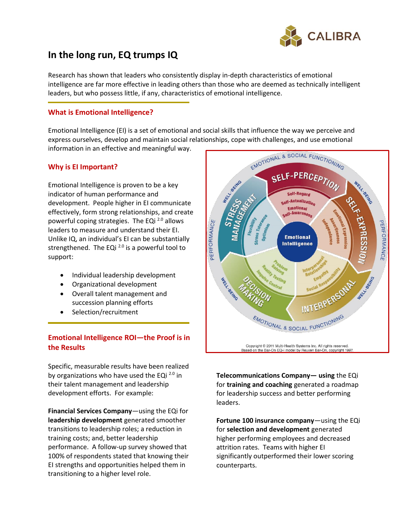

# **In the long run, EQ trumps IQ**

Research has shown that leaders who consistently display in-depth characteristics of emotional intelligence are far more effective in leading others than those who are deemed as technically intelligent leaders, but who possess little, if any, characteristics of emotional intelligence.

## **What is Emotional Intelligence?**

Emotional Intelligence (EI) is a set of emotional and social skills that influence the way we perceive and express ourselves, develop and maintain social relationships, cope with challenges, and use emotional information in an effective and meaningful way.

## **Why is EI Important?**

Emotional Intelligence is proven to be a key indicator of human performance and development. People higher in EI communicate effectively, form strong relationships, and create powerful coping strategies. The EQi 2.0 allows leaders to measure and understand their EI. Unlike IQ, an individual's EI can be substantially strengthened. The EQi  $^{2.0}$  is a powerful tool to support:

- Individual leadership development
- Organizational development
- Overall talent management and succession planning efforts
- Selection/recruitment

## **Emotional Intelligence ROI—the Proof is in the Results**

Specific, measurable results have been realized by organizations who have used the EQi<sup>2.0</sup> in their talent management and leadership development efforts. For example:

**Financial Services Company**—using the EQi for **leadership development** generated smoother transitions to leadership roles; a reduction in training costs; and, better leadership performance. A follow-up survey showed that 100% of respondents stated that knowing their EI strengths and opportunities helped them in transitioning to a higher level role.



**Telecommunications Company— using** the EQi for **training and coaching** generated a roadmap for leadership success and better performing leaders.

**Fortune 100 insurance company**—using the EQi for **selection and development** generated higher performing employees and decreased attrition rates. Teams with higher EI significantly outperformed their lower scoring counterparts.